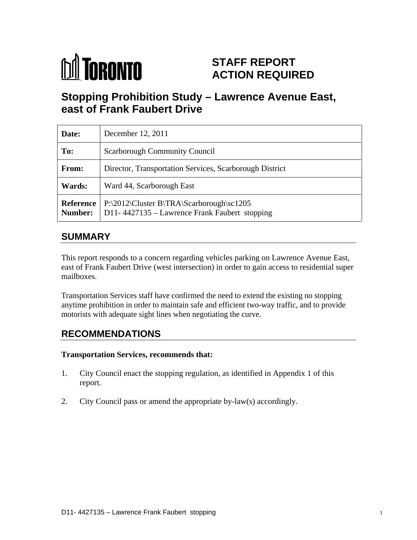

# **STAFF REPORT ACTION REQUIRED**

# **Stopping Prohibition Study – Lawrence Avenue East, east of Frank Faubert Drive**

| Date:         | December 12, 2011                                                                                                                   |
|---------------|-------------------------------------------------------------------------------------------------------------------------------------|
| To:           | Scarborough Community Council                                                                                                       |
| From:         | Director, Transportation Services, Scarborough District                                                                             |
| <b>Wards:</b> | Ward 44, Scarborough East                                                                                                           |
|               | <b>Reference</b>   P:\2012\Cluster B\TRA\Scarborough\sc1205<br><b>Number:</b> $\vert$ D11-4427135 – Lawrence Frank Faubert stopping |

## **SUMMARY**

This report responds to a concern regarding vehicles parking on Lawrence Avenue East, east of Frank Faubert Drive (west intersection) in order to gain access to residential super mailboxes.

Transportation Services staff have confirmed the need to extend the existing no stopping anytime prohibition in order to maintain safe and efficient two-way traffic, and to provide motorists with adequate sight lines when negotiating the curve.

# **RECOMMENDATIONS**

#### **Transportation Services, recommends that:**

- 1. City Council enact the stopping regulation, as identified in Appendix 1 of this report.
- 2. City Council pass or amend the appropriate by-law(s) accordingly.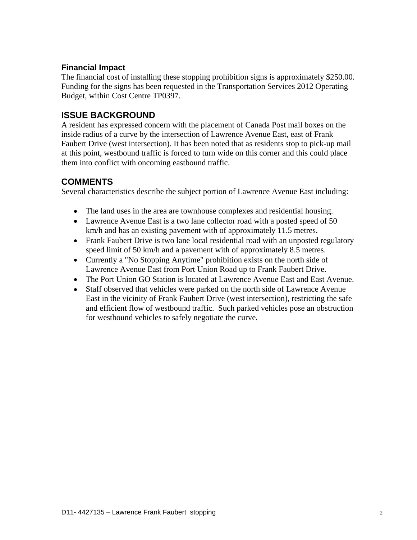#### **Financial Impact**

The financial cost of installing these stopping prohibition signs is approximately \$250.00. Funding for the signs has been requested in the Transportation Services 2012 Operating Budget, within Cost Centre TP0397.

### **ISSUE BACKGROUND**

A resident has expressed concern with the placement of Canada Post mail boxes on the inside radius of a curve by the intersection of Lawrence Avenue East, east of Frank Faubert Drive (west intersection). It has been noted that as residents stop to pick-up mail at this point, westbound traffic is forced to turn wide on this corner and this could place them into conflict with oncoming eastbound traffic.

### **COMMENTS**

Several characteristics describe the subject portion of Lawrence Avenue East including:

- The land uses in the area are townhouse complexes and residential housing.
- Lawrence Avenue East is a two lane collector road with a posted speed of 50 km/h and has an existing pavement with of approximately 11.5 metres.
- Frank Faubert Drive is two lane local residential road with an unposted regulatory speed limit of 50 km/h and a pavement with of approximately 8.5 metres.
- Currently a "No Stopping Anytime" prohibition exists on the north side of Lawrence Avenue East from Port Union Road up to Frank Faubert Drive.
- The Port Union GO Station is located at Lawrence Avenue East and East Avenue.
- Staff observed that vehicles were parked on the north side of Lawrence Avenue East in the vicinity of Frank Faubert Drive (west intersection), restricting the safe and efficient flow of westbound traffic. Such parked vehicles pose an obstruction for westbound vehicles to safely negotiate the curve.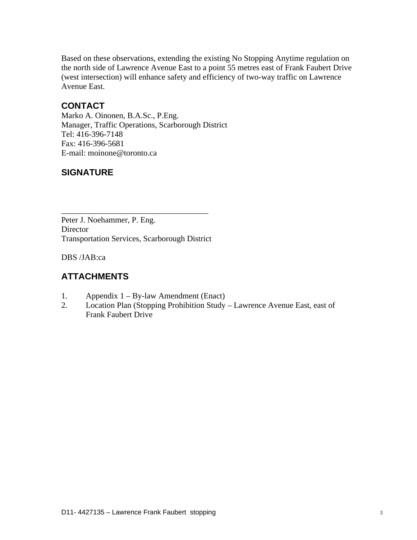Based on these observations, extending the existing No Stopping Anytime regulation on the north side of Lawrence Avenue East to a point 55 metres east of Frank Faubert Drive (west intersection) will enhance safety and efficiency of two-way traffic on Lawrence Avenue East.

## **CONTACT**

Marko A. Oinonen, B.A.Sc., P.Eng. Manager, Traffic Operations, Scarborough District Tel: 416-396-7148<br>Fax: 416-396-5681 E-mail: moinone@toronto.ca

## **SIGNATURE**

Peter J. Noehammer, P. Eng. Director **Executive Contract Contract Contract Contract Contract Contract Contract Contract Contract Contract Contract Contract Contract Contract Contract Contract Contract Contract Contract Contract Contract Contract Cont** Transportation Services, Scarborough District

DBS /JAB:ca

## **ATTACHMENTS**

- 1. Appendix 1 By-law Amendment (Enact)
- 2. Location Plan (Stopping Prohibition Study Lawrence Avenue East, east of Frank Faubert Drive

 $\overline{\phantom{a}}$  , we can assume that the contract of  $\overline{\phantom{a}}$  , we can assume that  $\overline{\phantom{a}}$